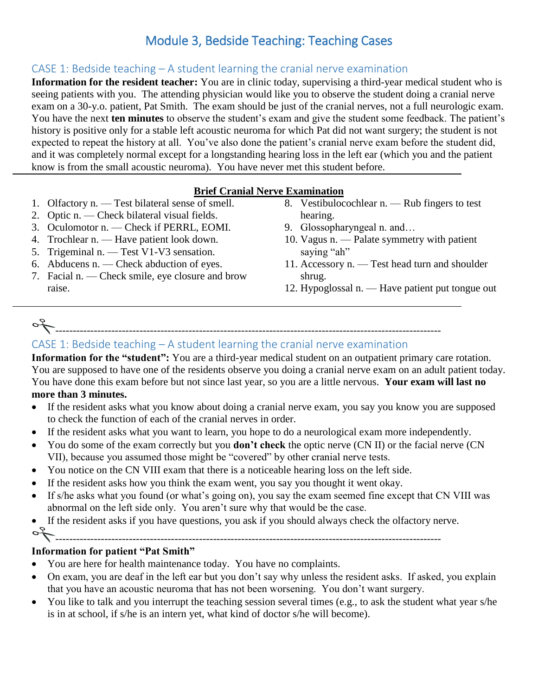# Module 3, Bedside Teaching: Teaching Cases

#### CASE 1: Bedside teaching – A student learning the cranial nerve examination

**Information for the resident teacher:** You are in clinic today, supervising a third-year medical student who is seeing patients with you. The attending physician would like you to observe the student doing a cranial nerve exam on a 30-y.o. patient, Pat Smith. The exam should be just of the cranial nerves, not a full neurologic exam. You have the next **ten minutes** to observe the student's exam and give the student some feedback. The patient's history is positive only for a stable left acoustic neuroma for which Pat did not want surgery; the student is not expected to repeat the history at all. You've also done the patient's cranial nerve exam before the student did, and it was completely normal except for a longstanding hearing loss in the left ear (which you and the patient know is from the small acoustic neuroma). You have never met this student before.

#### **Brief Cranial Nerve Examination**

- 1. Olfactory n. Test bilateral sense of smell.
- 2. Optic n. Check bilateral visual fields.
- 3. Oculomotor n. Check if PERRL, EOMI.
- 4. Trochlear n. Have patient look down.
- 5. Trigeminal n. Test V1-V3 sensation.
- 6. Abducens n. Check abduction of eyes.
- 7. Facial n. Check smile, eye closure and brow raise.
- 8. Vestibulocochlear n. Rub fingers to test hearing.
- 9. Glossopharyngeal n. and…
- 10. Vagus n. Palate symmetry with patient saying "ah"
- 11. Accessory n. Test head turn and shoulder shrug.
- 12. Hypoglossal n. Have patient put tongue out

--------------------------------------------------------------------------------------------------------------

## CASE 1: Bedside teaching – A student learning the cranial nerve examination

**Information for the "student":** You are a third-year medical student on an outpatient primary care rotation. You are supposed to have one of the residents observe you doing a cranial nerve exam on an adult patient today. You have done this exam before but not since last year, so you are a little nervous. **Your exam will last no more than 3 minutes.**

- If the resident asks what you know about doing a cranial nerve exam, you say you know you are supposed to check the function of each of the cranial nerves in order.
- If the resident asks what you want to learn, you hope to do a neurological exam more independently.
- You do some of the exam correctly but you **don't check** the optic nerve (CN II) or the facial nerve (CN VII), because you assumed those might be "covered" by other cranial nerve tests.
- You notice on the CN VIII exam that there is a noticeable hearing loss on the left side.
- If the resident asks how you think the exam went, you say you thought it went okay.
- If s/he asks what you found (or what's going on), you say the exam seemed fine except that CN VIII was abnormal on the left side only. You aren't sure why that would be the case.
- If the resident asks if you have questions, you ask if you should always check the olfactory nerve.

--------------------------------------------------------------------------------------------------------------

#### **Information for patient "Pat Smith"**

- You are here for health maintenance today. You have no complaints.
- On exam, you are deaf in the left ear but you don't say why unless the resident asks. If asked, you explain that you have an acoustic neuroma that has not been worsening. You don't want surgery.
- You like to talk and you interrupt the teaching session several times (e.g., to ask the student what year s/he is in at school, if s/he is an intern yet, what kind of doctor s/he will become).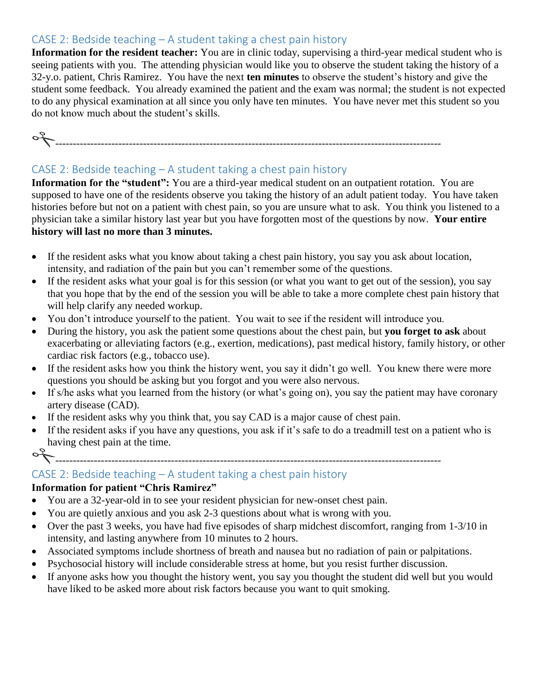#### CASE 2: Bedside teaching – A student taking a chest pain history

**Information for the resident teacher:** You are in clinic today, supervising a third-year medical student who is seeing patients with you. The attending physician would like you to observe the student taking the history of a 32-y.o. patient, Chris Ramirez. You have the next **ten minutes** to observe the student's history and give the student some feedback. You already examined the patient and the exam was normal; the student is not expected to do any physical examination at all since you only have ten minutes. You have never met this student so you do not know much about the student's skills.



### CASE 2: Bedside teaching – A student taking a chest pain history

**Information for the "student":** You are a third-year medical student on an outpatient rotation. You are supposed to have one of the residents observe you taking the history of an adult patient today. You have taken histories before but not on a patient with chest pain, so you are unsure what to ask. You think you listened to a physician take a similar history last year but you have forgotten most of the questions by now. **Your entire history will last no more than 3 minutes.**

- If the resident asks what you know about taking a chest pain history, you say you ask about location, intensity, and radiation of the pain but you can't remember some of the questions.
- If the resident asks what your goal is for this session (or what you want to get out of the session), you say that you hope that by the end of the session you will be able to take a more complete chest pain history that will help clarify any needed workup.
- You don't introduce yourself to the patient. You wait to see if the resident will introduce you.
- During the history, you ask the patient some questions about the chest pain, but **you forget to ask** about exacerbating or alleviating factors (e.g., exertion, medications), past medical history, family history, or other cardiac risk factors (e.g., tobacco use).
- If the resident asks how you think the history went, you say it didn't go well. You knew there were more questions you should be asking but you forgot and you were also nervous.
- If s/he asks what you learned from the history (or what's going on), you say the patient may have coronary artery disease (CAD).
- If the resident asks why you think that, you say CAD is a major cause of chest pain.
- If the resident asks if you have any questions, you ask if it's safe to do a treadmill test on a patient who is having chest pain at the time.
- 

--------------------------------------------------------------------------------------------------------------

## CASE 2: Bedside teaching – A student taking a chest pain history

#### **Information for patient "Chris Ramirez"**

- You are a 32-year-old in to see your resident physician for new-onset chest pain.
- You are quietly anxious and you ask 2-3 questions about what is wrong with you.
- Over the past 3 weeks, you have had five episodes of sharp midchest discomfort, ranging from 1-3/10 in intensity, and lasting anywhere from 10 minutes to 2 hours.
- Associated symptoms include shortness of breath and nausea but no radiation of pain or palpitations.
- Psychosocial history will include considerable stress at home, but you resist further discussion.
- If anyone asks how you thought the history went, you say you thought the student did well but you would have liked to be asked more about risk factors because you want to quit smoking.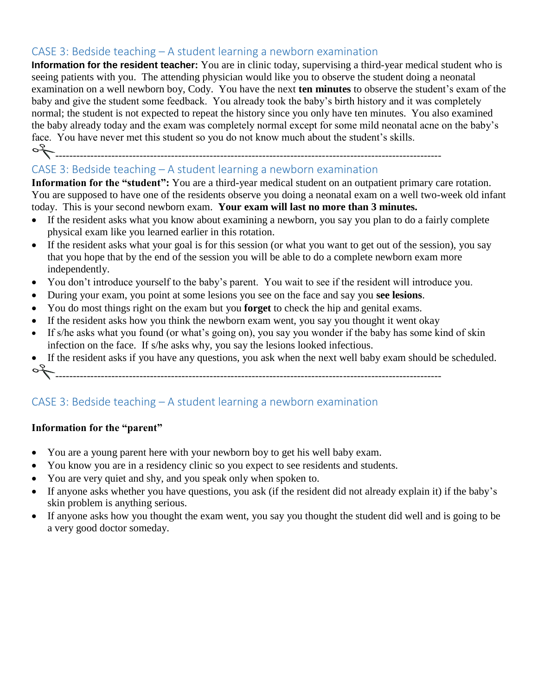#### CASE 3: Bedside teaching – A student learning a newborn examination

**Information for the resident teacher:** You are in clinic today, supervising a third-year medical student who is seeing patients with you. The attending physician would like you to observe the student doing a neonatal examination on a well newborn boy, Cody. You have the next **ten minutes** to observe the student's exam of the baby and give the student some feedback. You already took the baby's birth history and it was completely normal; the student is not expected to repeat the history since you only have ten minutes. You also examined the baby already today and the exam was completely normal except for some mild neonatal acne on the baby's face. You have never met this student so you do not know much about the student's skills.

of

## --------------------------------------------------------------------------------------------------------------

## CASE 3: Bedside teaching – A student learning a newborn examination

**Information for the "student":** You are a third-year medical student on an outpatient primary care rotation. You are supposed to have one of the residents observe you doing a neonatal exam on a well two-week old infant today. This is your second newborn exam. **Your exam will last no more than 3 minutes.**

- If the resident asks what you know about examining a newborn, you say you plan to do a fairly complete physical exam like you learned earlier in this rotation.
- If the resident asks what your goal is for this session (or what you want to get out of the session), you say that you hope that by the end of the session you will be able to do a complete newborn exam more independently.
- You don't introduce yourself to the baby's parent. You wait to see if the resident will introduce you.
- During your exam, you point at some lesions you see on the face and say you **see lesions**.
- You do most things right on the exam but you **forget** to check the hip and genital exams.
- If the resident asks how you think the newborn exam went, you say you thought it went okay
- If s/he asks what you found (or what's going on), you say you wonder if the baby has some kind of skin infection on the face. If s/he asks why, you say the lesions looked infectious.
- If the resident asks if you have any questions, you ask when the next well baby exam should be scheduled. -------------------------------------------------------------------------------------------------------------- P

## CASE 3: Bedside teaching – A student learning a newborn examination

#### **Information for the "parent"**

- You are a young parent here with your newborn boy to get his well baby exam.
- You know you are in a residency clinic so you expect to see residents and students.
- You are very quiet and shy, and you speak only when spoken to.
- If anyone asks whether you have questions, you ask (if the resident did not already explain it) if the baby's skin problem is anything serious.
- If anyone asks how you thought the exam went, you say you thought the student did well and is going to be a very good doctor someday.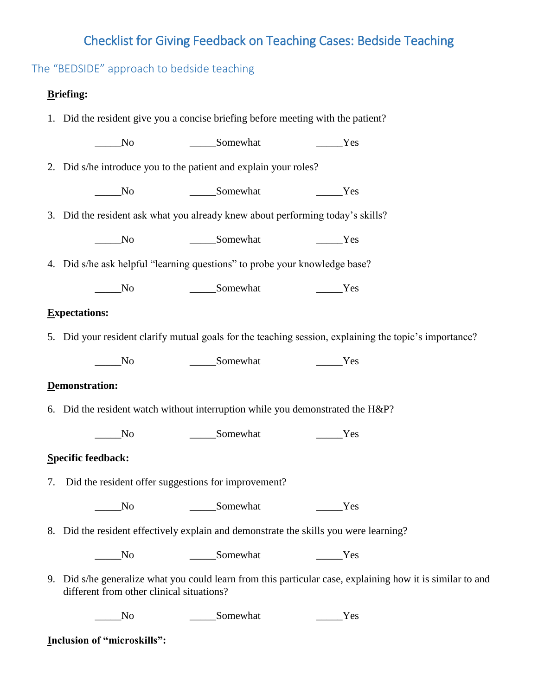# Checklist for Giving Feedback on Teaching Cases: Bedside Teaching

The "BEDSIDE" approach to bedside teaching

### **Briefing:**

| 1. Did the resident give you a concise briefing before meeting with the patient?                                                                        |                   |                                                                                                        |  |  |  |  |  |  |
|---------------------------------------------------------------------------------------------------------------------------------------------------------|-------------------|--------------------------------------------------------------------------------------------------------|--|--|--|--|--|--|
| N <sub>0</sub>                                                                                                                                          | ______Somewhat    | Yes                                                                                                    |  |  |  |  |  |  |
| 2. Did s/he introduce you to the patient and explain your roles?                                                                                        |                   |                                                                                                        |  |  |  |  |  |  |
| $\rule{1em}{0.15mm}$ No                                                                                                                                 | Somewhat Nes      |                                                                                                        |  |  |  |  |  |  |
| 3. Did the resident ask what you already knew about performing today's skills?                                                                          |                   |                                                                                                        |  |  |  |  |  |  |
| N <sub>0</sub>                                                                                                                                          | ______Somewhat    | Yes                                                                                                    |  |  |  |  |  |  |
| 4. Did s/he ask helpful "learning questions" to probe your knowledge base?                                                                              |                   |                                                                                                        |  |  |  |  |  |  |
| $\sqrt{N}$                                                                                                                                              |                   | Yes                                                                                                    |  |  |  |  |  |  |
| <b>Expectations:</b>                                                                                                                                    |                   |                                                                                                        |  |  |  |  |  |  |
|                                                                                                                                                         |                   | 5. Did your resident clarify mutual goals for the teaching session, explaining the topic's importance? |  |  |  |  |  |  |
| $\overline{\phantom{1}}$ No                                                                                                                             | _______Somewhat   | Yes                                                                                                    |  |  |  |  |  |  |
| Demonstration:                                                                                                                                          |                   |                                                                                                        |  |  |  |  |  |  |
| 6. Did the resident watch without interruption while you demonstrated the H&P?                                                                          |                   |                                                                                                        |  |  |  |  |  |  |
| $\sqrt{N}$                                                                                                                                              | _________Somewhat | Yes                                                                                                    |  |  |  |  |  |  |
| Specific feedback:                                                                                                                                      |                   |                                                                                                        |  |  |  |  |  |  |
| 7. Did the resident offer suggestions for improvement?                                                                                                  |                   |                                                                                                        |  |  |  |  |  |  |
|                                                                                                                                                         | No Somewhat       | Yes                                                                                                    |  |  |  |  |  |  |
| 8. Did the resident effectively explain and demonstrate the skills you were learning?                                                                   |                   |                                                                                                        |  |  |  |  |  |  |
| $\overline{\phantom{1}}$ No                                                                                                                             | Somewhat          | Yes                                                                                                    |  |  |  |  |  |  |
| 9. Did s/he generalize what you could learn from this particular case, explaining how it is similar to and<br>different from other clinical situations? |                   |                                                                                                        |  |  |  |  |  |  |
| No                                                                                                                                                      | Somewhat          | Yes                                                                                                    |  |  |  |  |  |  |

**Inclusion of "microskills":**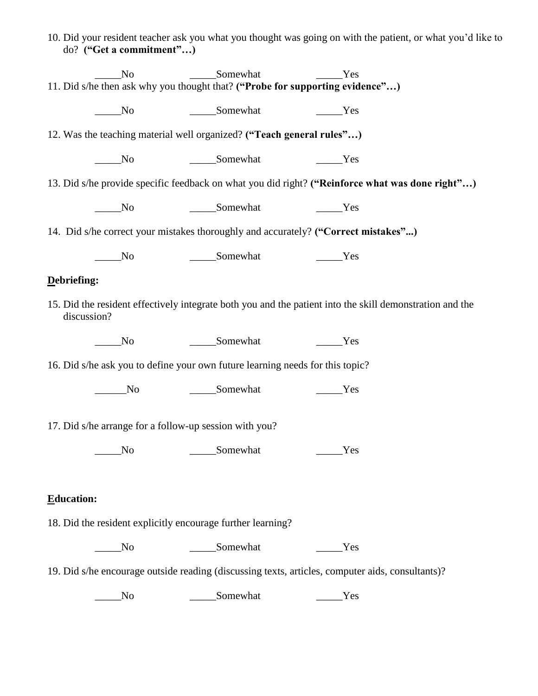|                                                                                                                         | do? ("Get a commitment")    |                                                                               | 10. Did your resident teacher ask you what you thought was going on with the patient, or what you'd like to |  |  |  |  |  |  |
|-------------------------------------------------------------------------------------------------------------------------|-----------------------------|-------------------------------------------------------------------------------|-------------------------------------------------------------------------------------------------------------|--|--|--|--|--|--|
|                                                                                                                         | N <sub>o</sub>              | ______Somewhat                                                                | Yes                                                                                                         |  |  |  |  |  |  |
| 11. Did s/he then ask why you thought that? ("Probe for supporting evidence")                                           |                             |                                                                               |                                                                                                             |  |  |  |  |  |  |
|                                                                                                                         | $\overline{\phantom{1}}$ No | Somewhat                                                                      | Yes                                                                                                         |  |  |  |  |  |  |
| 12. Was the teaching material well organized? ("Teach general rules")                                                   |                             |                                                                               |                                                                                                             |  |  |  |  |  |  |
|                                                                                                                         | $\sqrt{N}$                  | ______Somewhat                                                                | Yes                                                                                                         |  |  |  |  |  |  |
|                                                                                                                         |                             |                                                                               | 13. Did s/he provide specific feedback on what you did right? ("Reinforce what was done right")             |  |  |  |  |  |  |
|                                                                                                                         | $\overline{\phantom{1}}$ No | Somewhat Test Test                                                            |                                                                                                             |  |  |  |  |  |  |
|                                                                                                                         |                             |                                                                               | 14. Did s/he correct your mistakes thoroughly and accurately? ("Correct mistakes")                          |  |  |  |  |  |  |
|                                                                                                                         | $\rule{1em}{0.15mm}$ No     | Somewhat Test Test                                                            |                                                                                                             |  |  |  |  |  |  |
| Debriefing:                                                                                                             |                             |                                                                               |                                                                                                             |  |  |  |  |  |  |
| 15. Did the resident effectively integrate both you and the patient into the skill demonstration and the<br>discussion? |                             |                                                                               |                                                                                                             |  |  |  |  |  |  |
|                                                                                                                         | $\sqrt{\ }$                 |                                                                               | Yes                                                                                                         |  |  |  |  |  |  |
|                                                                                                                         |                             | 16. Did s/he ask you to define your own future learning needs for this topic? |                                                                                                             |  |  |  |  |  |  |
|                                                                                                                         | No                          | __________Somewhat                                                            | Yes                                                                                                         |  |  |  |  |  |  |
| 17. Did s/he arrange for a follow-up session with you?                                                                  |                             |                                                                               |                                                                                                             |  |  |  |  |  |  |
|                                                                                                                         | No_                         | ______Somewhat                                                                | Yes                                                                                                         |  |  |  |  |  |  |
|                                                                                                                         |                             |                                                                               |                                                                                                             |  |  |  |  |  |  |
| <b>Education:</b>                                                                                                       |                             |                                                                               |                                                                                                             |  |  |  |  |  |  |
| 18. Did the resident explicitly encourage further learning?                                                             |                             |                                                                               |                                                                                                             |  |  |  |  |  |  |
|                                                                                                                         | $\rule{1em}{0.15mm}$ No     | ______Somewhat                                                                | Yes                                                                                                         |  |  |  |  |  |  |
| 19. Did s/he encourage outside reading (discussing texts, articles, computer aids, consultants)?                        |                             |                                                                               |                                                                                                             |  |  |  |  |  |  |
|                                                                                                                         | N <sub>o</sub>              | Somewhat                                                                      | Yes                                                                                                         |  |  |  |  |  |  |
|                                                                                                                         |                             |                                                                               |                                                                                                             |  |  |  |  |  |  |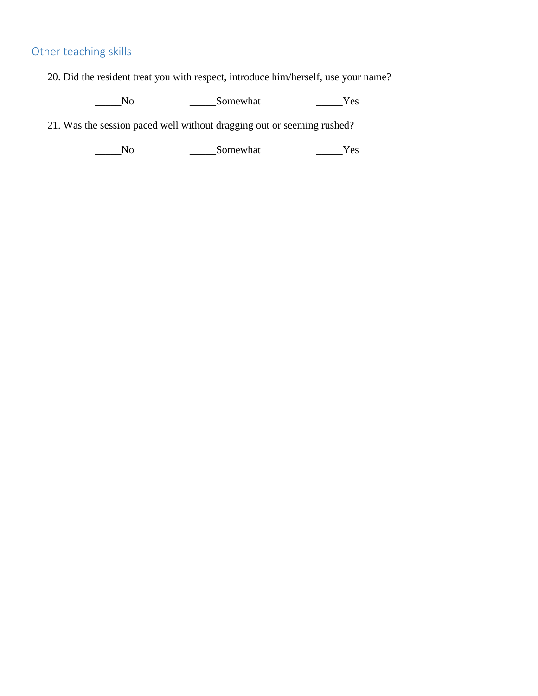## Other teaching skills

20. Did the resident treat you with respect, introduce him/herself, use your name?

\_\_\_\_\_No \_\_\_\_\_Somewhat \_\_\_\_\_Yes

21. Was the session paced well without dragging out or seeming rushed?

\_\_\_\_\_No \_\_\_\_\_Somewhat \_\_\_\_\_Yes